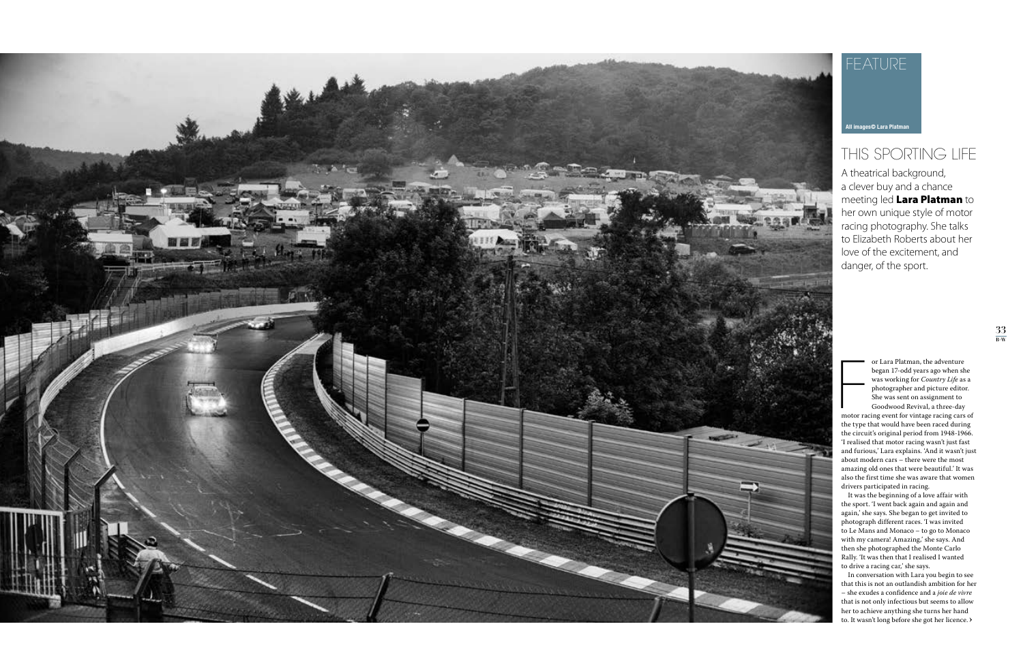

## THIS SPORTING LIFE

## FEATURE

A theatrical background, a clever buy and a chance meeting led Lara Platman to her own unique style of motor racing photography. She talks to Elizabeth Roberts about her love of the excitement, and danger, of the sport.

or Lara Platman, the adventure<br>began 17-odd years ago when she<br>was working for *Country Life* as a<br>photographer and picture editor.<br>She was sent on assignment to<br>Goodwood Revival, a three-day<br>motor racing event for vintage or Lara Platman, the adventure began 17-odd years ago when she was working for *Country Life* as a photographer and picture editor. She was sent on assignment to Goodwood Revival, a three-day

the type that would have been raced during the circuit's original period from 1948-1966. 'I realised that motor racing wasn't just fast and furious,' Lara explains. 'And it wasn't just about modern cars – there were the most amazing old ones that were beautiful.' It was also the first time she was aware that women drivers participated in racing.

**›** to. It wasn't long before she got her licence. In conversation with Lara you begin to see that this is not an outlandish ambition for her – she exudes a confidence and a *joie de vivre* that is not only infectious but seems to allow her to achieve anything she turns her hand

It was the beginning of a love affair with the sport. 'I went back again and again and again,' she says. She began to get invited to photograph different races. 'I was invited to Le Mans and Monaco – to go to Monaco with my camera! Amazing,' she says. And then she photographed the Monte Carlo Rally. 'It was then that I realised I wanted to drive a racing car,' she says.

**All images© Lara Platman**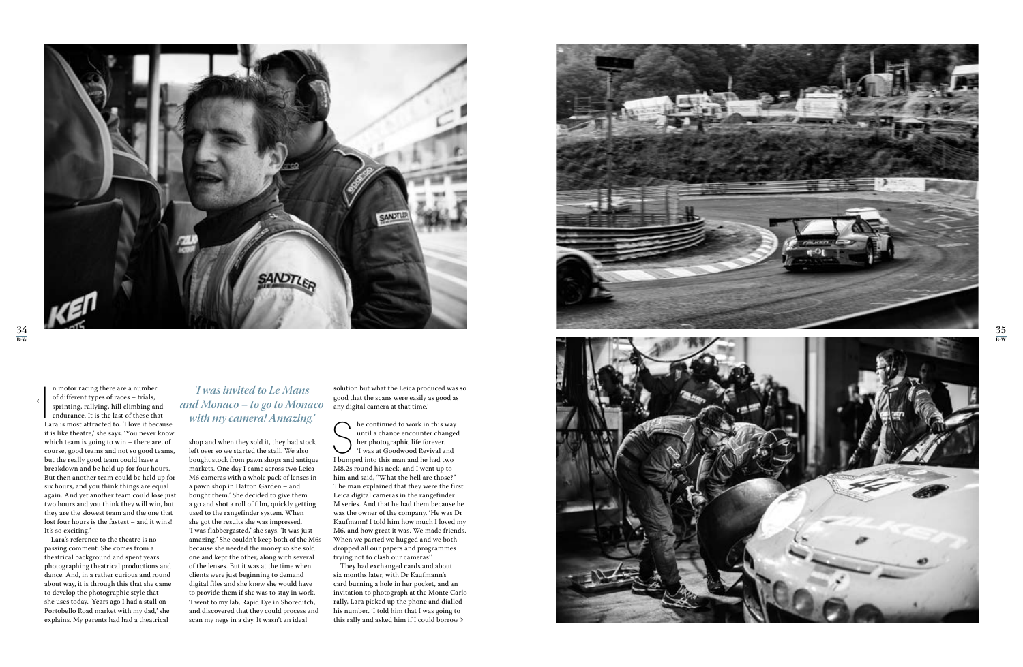

**›**

 $\begin{array}{c} \begin{array}{c} \begin{array}{c} \end{array} \\ \begin{array}{c} \end{array} \\ \begin{array}{c} \end{array} \end{array} \end{array}$ n motor racing there are a number of different types of races – trials, sprinting, rallying, hill climbing and endurance. It is the last of these that Lara is most attracted to. 'I love it because it is like theatre,' she says. 'You never know which team is going to win – there are, of course, good teams and not so good teams, but the really good team could have a breakdown and be held up for four hours. But then another team could be held up for six hours, and you think things are equal again. And yet another team could lose just two hours and you think they will win, but they are the slowest team and the one that lost four hours is the fastest – and it wins! It's so exciting.'

Lara's reference to the theatre is no passing comment. She comes from a theatrical background and spent years photographing theatrical productions and dance. And, in a rather curious and round about way, it is through this that she came to develop the photographic style that she uses today. 'Years ago I had a stall on Portobello Road market with my dad,' she explains. My parents had had a theatrical

The continued to work in this way<br>
until a chance encounter change<br>
her photographic life forever.<br>
Twas at Goodwood Revival and<br>
I bumped into this man and he had two  $\bigcap$  he continued to work in this way until a chance encounter changed her photographic life forever. 'I was at Goodwood Revival and M8.2s round his neck, and I went up to him and said, "What the hell are those?" The man explained that they were the first Leica digital cameras in the rangefinder M series. And that he had them because he was the owner of the company. 'He was Dr Kaufmann! I told him how much I loved my M6, and how great it was. We made friends. When we parted we hugged and we both dropped all our papers and programmes trying not to clash our cameras!'

**›** this rally and asked him if I could borrow They had exchanged cards and about six months later, with Dr Kaufmann's card burning a hole in her pocket, and an invitation to photograph at the Monte Carlo rally, Lara picked up the phone and dialled his number. 'I told him that I was going to





 $\frac{35}{\text{B}^+W}$ 

shop and when they sold it, they had stock left over so we started the stall. We also bought stock from pawn shops and antique markets. One day I came across two Leica M6 cameras with a whole pack of lenses in a pawn shop in Hatton Garden – and bought them.' She decided to give them a go and shot a roll of film, quickly getting used to the rangefinder system. When she got the results she was impressed. 'I was flabbergasted,' she says. 'It was just amazing.' She couldn't keep both of the M6s because she needed the money so she sold one and kept the other, along with several of the lenses. But it was at the time when clients were just beginning to demand digital files and she knew she would have to provide them if she was to stay in work. 'I went to my lab, Rapid Eye in Shoreditch, and discovered that they could process and scan my negs in a day. It wasn't an ideal

solution but what the Leica produced was so good that the scans were easily as good as any digital camera at that time.'

## *'I was invited to Le Mans and Monaco – to go to Monaco with my camera! Amazing.'*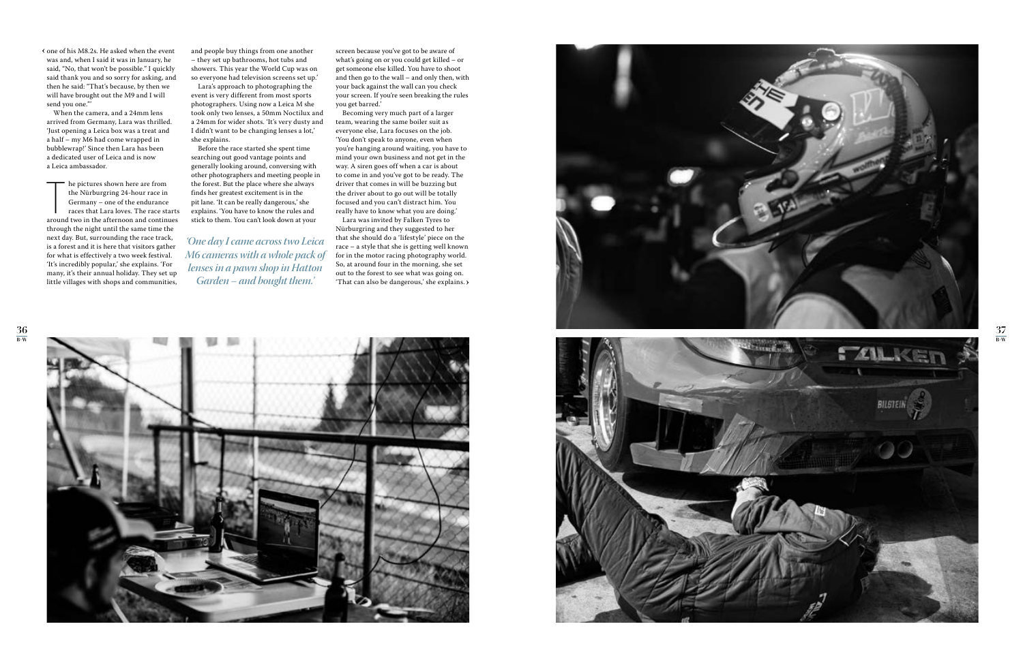one of his M8.2s. He asked when the event **›**was and, when I said it was in January, he said, "No, that won't be possible." I quickly said thank you and so sorry for asking, and then he said: "That's because, by then we will have brought out the M9 and I will send you one."'

When the camera, and a 24mm lens arrived from Germany, Lara was thrilled. 'Just opening a Leica box was a treat and a half – my M6 had come wrapped in bubblewrap!' Since then Lara has been a dedicated user of Leica and is now a Leica ambassador.

The pictures shown here are from<br>the Nürburgring 24-hour race in<br>Germany – one of the endurance<br>races that Lara loves. The race starts<br>around two in the afternoon and continues he pictures shown here are from the Nürburgring 24-hour race in Germany – one of the endurance races that Lara loves. The race starts through the night until the same time the next day. But, surrounding the race track, is a forest and it is here that visitors gather for what is effectively a two week festival. 'It's incredibly popular,' she explains. 'For many, it's their annual holiday. They set up little villages with shops and communities,

and people buy things from one another – they set up bathrooms, hot tubs and showers. This year the World Cup was on so everyone had television screens set up.'

Lara's approach to photographing the event is very different from most sports photographers. Using now a Leica M she took only two lenses, a 50mm Noctilux and a 24mm for wider shots. 'It's very dusty and I didn't want to be changing lenses a lot,' she explains.

> **›** 'That can also be dangerous,' she explains. Lara was invited by Falken Tyres to Nürburgring and they suggested to her that she should do a 'lifestyle' piece on the race – a style that she is getting well known for in the motor racing photography world. So, at around four in the morning, she set out to the forest to see what was going on.







Before the race started she spent time searching out good vantage points and generally looking around, conversing with other photographers and meeting people in the forest. But the place where she always finds her greatest excitement is in the pit lane. 'It can be really dangerous,' she explains. 'You have to know the rules and stick to them. You can't look down at your

screen because you've got to be aware of what's going on or you could get killed – or get someone else killed. You have to shoot and then go to the wall – and only then, with your back against the wall can you check your screen. If you're seen breaking the rules you get barred.'

Becoming very much part of a larger team, wearing the same boiler suit as everyone else, Lara focuses on the job. 'You don't speak to anyone, even when you're hanging around waiting, you have to mind your own business and not get in the way. A siren goes off when a car is about to come in and you've got to be ready. The driver that comes in will be buzzing but the driver about to go out will be totally focused and you can't distract him. You really have to know what you are doing.'

*'One day I came across two Leica M6 cameras with a whole pack of lenses in a pawn shop in Hatton Garden – and bought them.'*